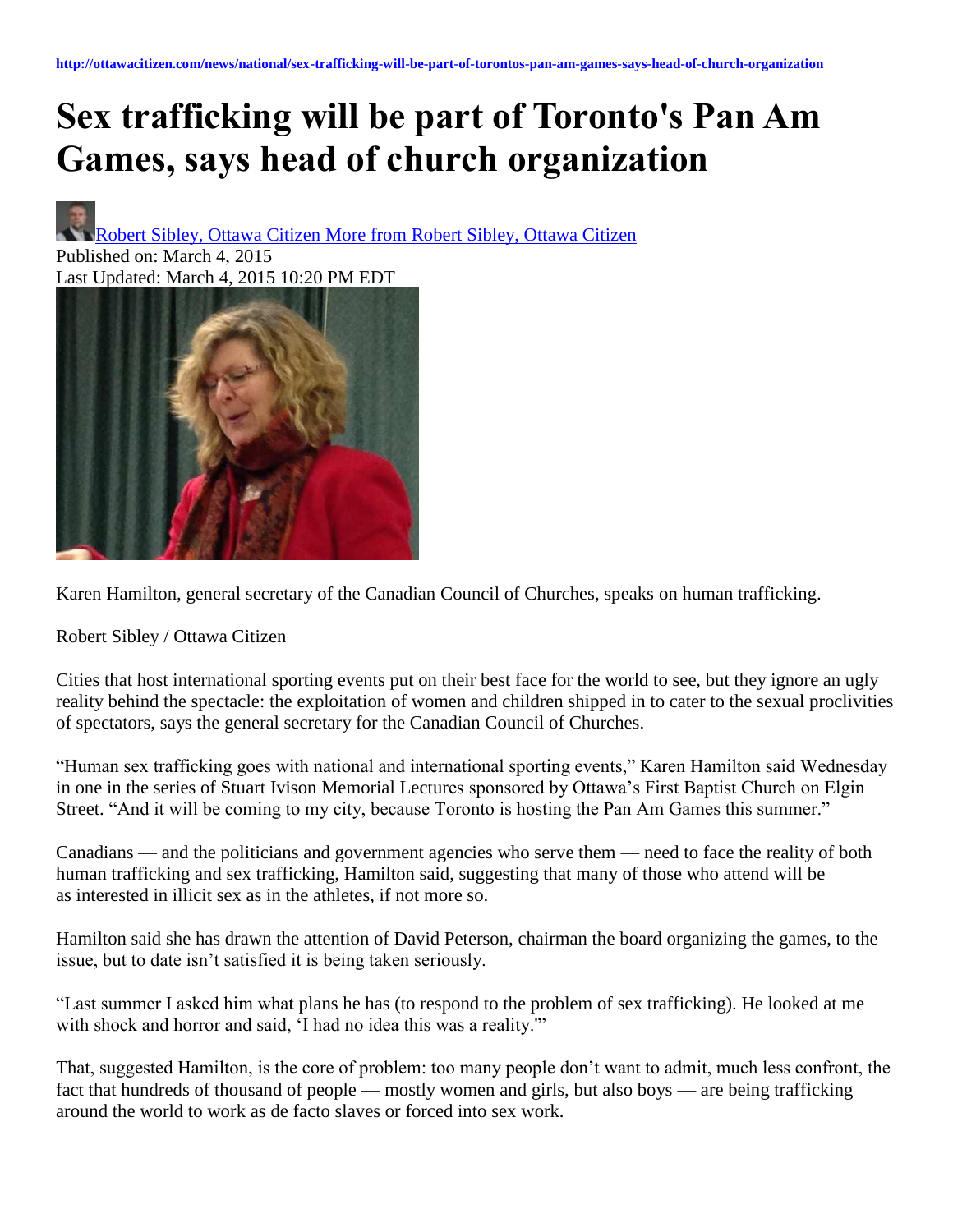## **Sex trafficking will be part of Toronto's Pan Am Games, says head of church organization**

Robert Sibley, Ottawa Citizen [More from Robert Sibley, Ottawa Citizen](http://ottawacitizen.com/author/bitplayer1) Published on: March 4, 2015 Last Updated: March 4, 2015 10:20 PM EDT



Karen Hamilton, general secretary of the Canadian Council of Churches, speaks on human trafficking.

Robert Sibley / Ottawa Citizen

Cities that host international sporting events put on their best face for the world to see, but they ignore an ugly reality behind the spectacle: the exploitation of women and children shipped in to cater to the sexual proclivities of spectators, says the general secretary for the Canadian Council of Churches.

"Human sex trafficking goes with national and international sporting events," Karen Hamilton said Wednesday in one in the series of Stuart Ivison Memorial Lectures sponsored by Ottawa's First Baptist Church on Elgin Street. "And it will be coming to my city, because Toronto is hosting the Pan Am Games this summer."

Canadians — and the politicians and government agencies who serve them — need to face the reality of both human trafficking and sex trafficking, Hamilton said, suggesting that many of those who attend will be as interested in illicit sex as in the athletes, if not more so.

Hamilton said she has drawn the attention of David Peterson, chairman the board organizing the games, to the issue, but to date isn't satisfied it is being taken seriously.

"Last summer I asked him what plans he has (to respond to the problem of sex trafficking). He looked at me with shock and horror and said, 'I had no idea this was a reality.'"

That, suggested Hamilton, is the core of problem: too many people don't want to admit, much less confront, the fact that hundreds of thousand of people — mostly women and girls, but also boys — are being trafficking around the world to work as de facto slaves or forced into sex work.